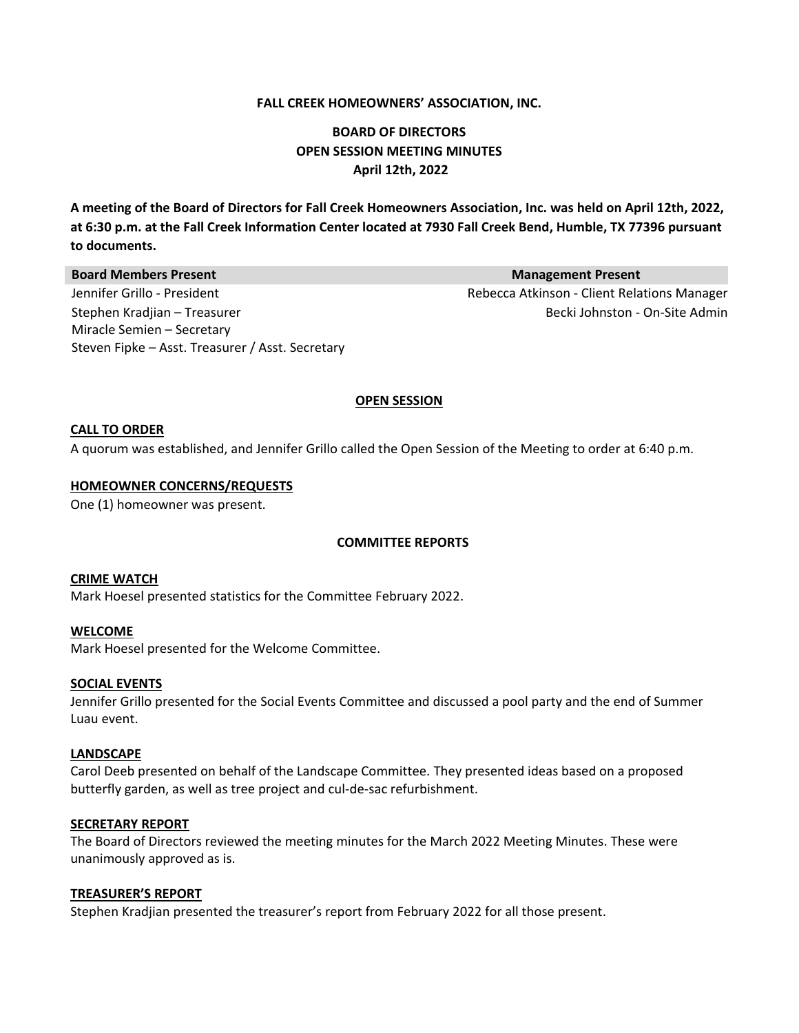## **FALL CREEK HOMEOWNERS' ASSOCIATION, INC.**

# **BOARD OF DIRECTORS OPEN SESSION MEETING MINUTES April 12th, 2022**

**A meeting of the Board of Directors for Fall Creek Homeowners Association, Inc. was held on April 12th, 2022, at 6:30 p.m. at the Fall Creek Information Center located at 7930 Fall Creek Bend, Humble, TX 77396 pursuant to documents.**

# **Board Members Present Management Present**

Jennifer Grillo - President **Rebecca Atkinson - Client Relations Manager** Stephen Kradjian – Treasurer Miracle Semien – Secretary Steven Fipke – Asst. Treasurer / Asst. Secretary

Becki Johnston - On-Site Admin

## **OPEN SESSION**

#### **CALL TO ORDER**

A quorum was established, and Jennifer Grillo called the Open Session of the Meeting to order at 6:40 p.m.

#### **HOMEOWNER CONCERNS/REQUESTS**

One (1) homeowner was present.

### **COMMITTEE REPORTS**

# **CRIME WATCH** Mark Hoesel presented statistics for the Committee February 2022.

### **WELCOME**

Mark Hoesel presented for the Welcome Committee.

### **SOCIAL EVENTS**

Jennifer Grillo presented for the Social Events Committee and discussed a pool party and the end of Summer Luau event.

### **LANDSCAPE**

Carol Deeb presented on behalf of the Landscape Committee. They presented ideas based on a proposed butterfly garden, as well as tree project and cul-de-sac refurbishment.

### **SECRETARY REPORT**

The Board of Directors reviewed the meeting minutes for the March 2022 Meeting Minutes. These were unanimously approved as is.

### **TREASURER'S REPORT**

Stephen Kradjian presented the treasurer's report from February 2022 for all those present.